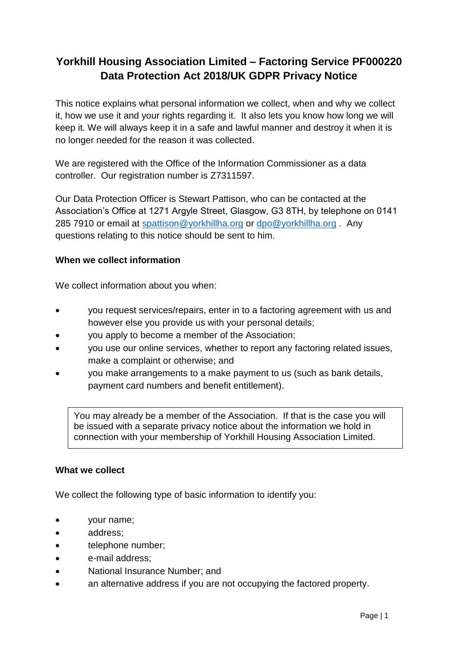# **Yorkhill Housing Association Limited – Factoring Service PF000220 Data Protection Act 2018/UK GDPR Privacy Notice**

This notice explains what personal information we collect, when and why we collect it, how we use it and your rights regarding it. It also lets you know how long we will keep it. We will always keep it in a safe and lawful manner and destroy it when it is no longer needed for the reason it was collected.

We are registered with the Office of the Information Commissioner as a data controller. Our registration number is Z7311597.

Our Data Protection Officer is Stewart Pattison, who can be contacted at the Association's Office at 1271 Argyle Street, Glasgow, G3 8TH, by telephone on 0141 285 7910 or email at [spattison@yorkhillha.org](mailto:spattison@yorkhillha.org) or [dpo@yorkhillha.org](mailto:dpo@yorkhillha.org). Any questions relating to this notice should be sent to him.

#### **When we collect information**

We collect information about you when:

- you request services/repairs, enter in to a factoring agreement with us and however else you provide us with your personal details;
- you apply to become a member of the Association;
- you use our online services, whether to report any factoring related issues, make a complaint or otherwise; and
- you make arrangements to a make payment to us (such as bank details, payment card numbers and benefit entitlement).

You may already be a member of the Association. If that is the case you will be issued with a separate privacy notice about the information we hold in connection with your membership of Yorkhill Housing Association Limited.

#### **What we collect**

We collect the following type of basic information to identify you:

- your name;
- address;
- telephone number;
- e-mail address;
- National Insurance Number; and
- an alternative address if you are not occupying the factored property.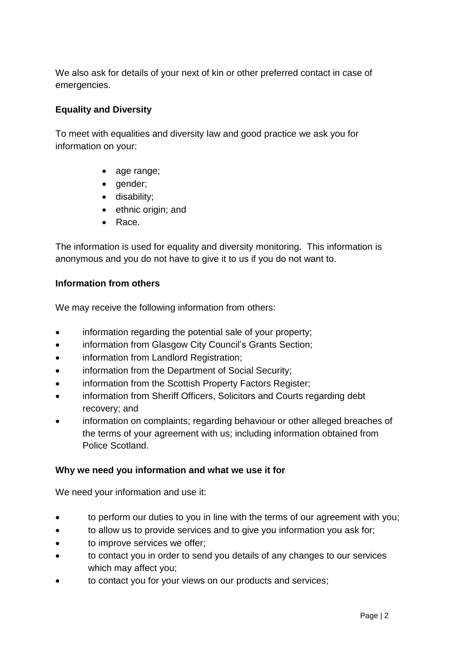We also ask for details of your next of kin or other preferred contact in case of emergencies.

## **Equality and Diversity**

To meet with equalities and diversity law and good practice we ask you for information on your:

- age range;
- gender;
- disability;
- ethnic origin; and
- Race.

The information is used for equality and diversity monitoring. This information is anonymous and you do not have to give it to us if you do not want to.

### **Information from others**

We may receive the following information from others:

- information regarding the potential sale of your property;
- information from Glasgow City Council's Grants Section;
- information from Landlord Registration:
- information from the Department of Social Security;
- information from the Scottish Property Factors Register;
- information from Sheriff Officers, Solicitors and Courts regarding debt recovery; and
- information on complaints; regarding behaviour or other alleged breaches of the terms of your agreement with us; including information obtained from Police Scotland.

### **Why we need you information and what we use it for**

We need your information and use it:

- to perform our duties to you in line with the terms of our agreement with you;
- to allow us to provide services and to give you information you ask for;
- to improve services we offer;
- to contact you in order to send you details of any changes to our services which may affect you;
- to contact you for your views on our products and services;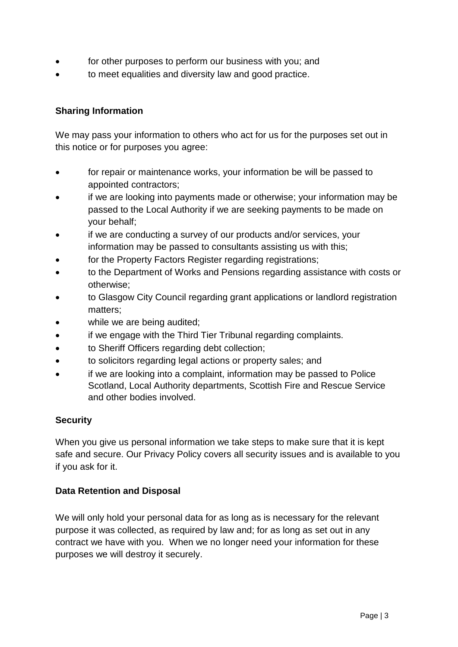- for other purposes to perform our business with you; and
- to meet equalities and diversity law and good practice.

# **Sharing Information**

We may pass your information to others who act for us for the purposes set out in this notice or for purposes you agree:

- for repair or maintenance works, your information be will be passed to appointed contractors;
- if we are looking into payments made or otherwise; your information may be passed to the Local Authority if we are seeking payments to be made on your behalf;
- if we are conducting a survey of our products and/or services, your information may be passed to consultants assisting us with this;
- for the Property Factors Register regarding registrations;
- to the Department of Works and Pensions regarding assistance with costs or otherwise;
- to Glasgow City Council regarding grant applications or landlord registration matters;
- while we are being audited;
- if we engage with the Third Tier Tribunal regarding complaints.
- to Sheriff Officers regarding debt collection;
- to solicitors regarding legal actions or property sales; and
- if we are looking into a complaint, information may be passed to Police Scotland, Local Authority departments, Scottish Fire and Rescue Service and other bodies involved.

### **Security**

When you give us personal information we take steps to make sure that it is kept safe and secure. Our Privacy Policy covers all security issues and is available to you if you ask for it.

### **Data Retention and Disposal**

We will only hold your personal data for as long as is necessary for the relevant purpose it was collected, as required by law and; for as long as set out in any contract we have with you. When we no longer need your information for these purposes we will destroy it securely.